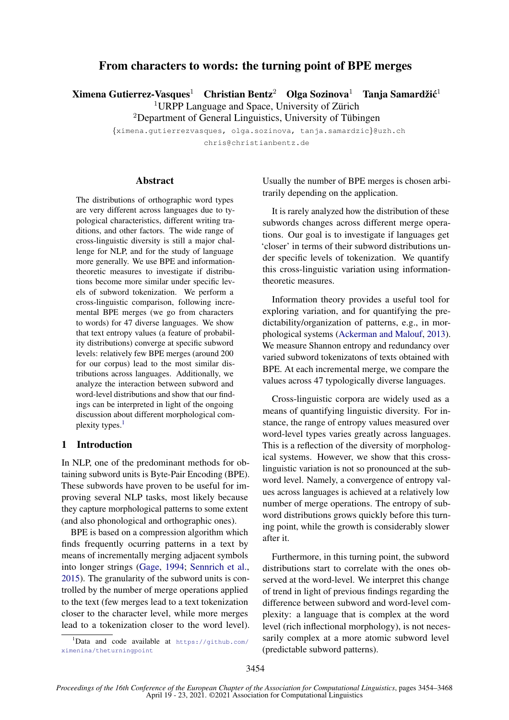# From characters to words: the turning point of BPE merges

 $Xi$ mena Gutierrez-Vasques<sup>1</sup> Christian Bentz<sup>2</sup> Olga Sozinova<sup>1</sup> Tanja Samardžić<sup>1</sup>

 $1$ URPP Language and Space, University of Zürich

 ${}^{2}$ Department of General Linguistics, University of Tübingen

{ximena.gutierrezvasques, olga.sozinova, tanja.samardzic}@uzh.ch chris@christianbentz.de

**Abstract** 

The distributions of orthographic word types are very different across languages due to typological characteristics, different writing traditions, and other factors. The wide range of cross-linguistic diversity is still a major challenge for NLP, and for the study of language more generally. We use BPE and informationtheoretic measures to investigate if distributions become more similar under specific levels of subword tokenization. We perform a cross-linguistic comparison, following incremental BPE merges (we go from characters to words) for 47 diverse languages. We show that text entropy values (a feature of probability distributions) converge at specific subword levels: relatively few BPE merges (around 200 for our corpus) lead to the most similar distributions across languages. Additionally, we analyze the interaction between subword and word-level distributions and show that our findings can be interpreted in light of the ongoing discussion about different morphological com-plexity types.<sup>[1](#page-0-0)</sup>

# 1 Introduction

In NLP, one of the predominant methods for obtaining subword units is Byte-Pair Encoding (BPE). These subwords have proven to be useful for improving several NLP tasks, most likely because they capture morphological patterns to some extent (and also phonological and orthographic ones).

BPE is based on a compression algorithm which finds frequently ocurring patterns in a text by means of incrementally merging adjacent symbols into longer strings [\(Gage,](#page-9-0) [1994;](#page-9-0) [Sennrich et al.,](#page-10-0) [2015\)](#page-10-0). The granularity of the subword units is controlled by the number of merge operations applied to the text (few merges lead to a text tokenization closer to the character level, while more merges lead to a tokenization closer to the word level). Usually the number of BPE merges is chosen arbitrarily depending on the application.

It is rarely analyzed how the distribution of these subwords changes across different merge operations. Our goal is to investigate if languages get 'closer' in terms of their subword distributions under specific levels of tokenization. We quantify this cross-linguistic variation using informationtheoretic measures.

Information theory provides a useful tool for exploring variation, and for quantifying the predictability/organization of patterns, e.g., in morphological systems [\(Ackerman and Malouf,](#page-9-1) [2013\)](#page-9-1). We measure Shannon entropy and redundancy over varied subword tokenizatons of texts obtained with BPE. At each incremental merge, we compare the values across 47 typologically diverse languages.

Cross-linguistic corpora are widely used as a means of quantifying linguistic diversity. For instance, the range of entropy values measured over word-level types varies greatly across languages. This is a reflection of the diversity of morphological systems. However, we show that this crosslinguistic variation is not so pronounced at the subword level. Namely, a convergence of entropy values across languages is achieved at a relatively low number of merge operations. The entropy of subword distributions grows quickly before this turning point, while the growth is considerably slower after it.

Furthermore, in this turning point, the subword distributions start to correlate with the ones observed at the word-level. We interpret this change of trend in light of previous findings regarding the difference between subword and word-level complexity: a language that is complex at the word level (rich inflectional morphology), is not necessarily complex at a more atomic subword level (predictable subword patterns).

<span id="page-0-0"></span> $1$ Data and code available at [https://github.com/](https://github.com/ximenina/theturningpoint) [ximenina/theturningpoint](https://github.com/ximenina/theturningpoint)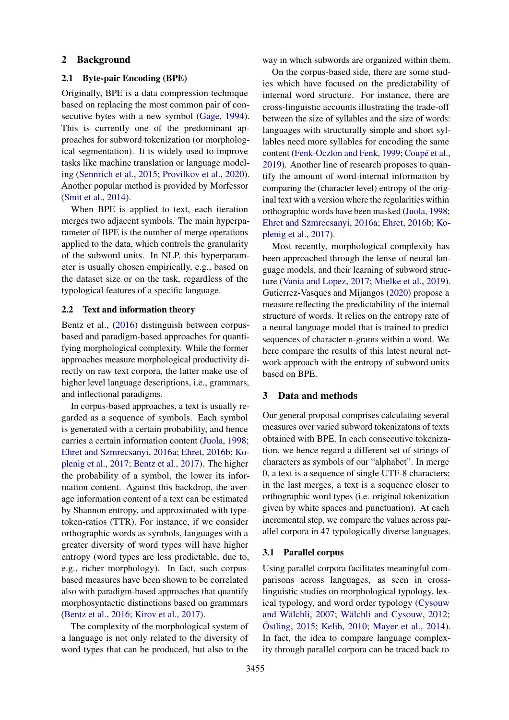## 2 Background

# 2.1 Byte-pair Encoding (BPE)

Originally, BPE is a data compression technique based on replacing the most common pair of consecutive bytes with a new symbol [\(Gage,](#page-9-0) [1994\)](#page-9-0). This is currently one of the predominant approaches for subword tokenization (or morphological segmentation). It is widely used to improve tasks like machine translation or language modeling [\(Sennrich et al.,](#page-10-0) [2015;](#page-10-0) [Provilkov et al.,](#page-10-1) [2020\)](#page-10-1). Another popular method is provided by Morfessor [\(Smit et al.,](#page-10-2) [2014\)](#page-10-2).

When BPE is applied to text, each iteration merges two adjacent symbols. The main hyperparameter of BPE is the number of merge operations applied to the data, which controls the granularity of the subword units. In NLP, this hyperparameter is usually chosen empirically, e.g., based on the dataset size or on the task, regardless of the typological features of a specific language.

# 2.2 Text and information theory

Bentz et al., [\(2016\)](#page-9-2) distinguish between corpusbased and paradigm-based approaches for quantifying morphological complexity. While the former approaches measure morphological productivity directly on raw text corpora, the latter make use of higher level language descriptions, i.e., grammars, and inflectional paradigms.

In corpus-based approaches, a text is usually regarded as a sequence of symbols. Each symbol is generated with a certain probability, and hence carries a certain information content [\(Juola,](#page-9-3) [1998;](#page-9-3) [Ehret and Szmrecsanyi,](#page-9-4) [2016a;](#page-9-4) [Ehret,](#page-9-5) [2016b;](#page-9-5) [Ko](#page-9-6)[plenig et al.,](#page-9-6) [2017;](#page-9-6) [Bentz et al.,](#page-9-7) [2017\)](#page-9-7). The higher the probability of a symbol, the lower its information content. Against this backdrop, the average information content of a text can be estimated by Shannon entropy, and approximated with typetoken-ratios (TTR). For instance, if we consider orthographic words as symbols, languages with a greater diversity of word types will have higher entropy (word types are less predictable, due to, e.g., richer morphology). In fact, such corpusbased measures have been shown to be correlated also with paradigm-based approaches that quantify morphosyntactic distinctions based on grammars [\(Bentz et al.,](#page-9-2) [2016;](#page-9-2) [Kirov et al.,](#page-9-8) [2017\)](#page-9-8).

The complexity of the morphological system of a language is not only related to the diversity of word types that can be produced, but also to the

way in which subwords are organized within them.

On the corpus-based side, there are some studies which have focused on the predictability of internal word structure. For instance, there are cross-linguistic accounts illustrating the trade-off between the size of syllables and the size of words: languages with structurally simple and short syllables need more syllables for encoding the same content [\(Fenk-Oczlon and Fenk,](#page-9-9) [1999;](#page-9-9) Coupé et al., [2019\)](#page-9-10). Another line of research proposes to quantify the amount of word-internal information by comparing the (character level) entropy of the original text with a version where the regularities within orthographic words have been masked [\(Juola,](#page-9-3) [1998;](#page-9-3) [Ehret and Szmrecsanyi,](#page-9-4) [2016a;](#page-9-4) [Ehret,](#page-9-5) [2016b;](#page-9-5) [Ko](#page-9-6)[plenig et al.,](#page-9-6) [2017\)](#page-9-6).

Most recently, morphological complexity has been approached through the lense of neural language models, and their learning of subword structure [\(Vania and Lopez,](#page-10-3) [2017;](#page-10-3) [Mielke et al.,](#page-9-11) [2019\)](#page-9-11). Gutierrez-Vasques and Mijangos [\(2020\)](#page-9-12) propose a measure reflecting the predictability of the internal structure of words. It relies on the entropy rate of a neural language model that is trained to predict sequences of character n-grams within a word. We here compare the results of this latest neural network approach with the entropy of subword units based on BPE.

### 3 Data and methods

Our general proposal comprises calculating several measures over varied subword tokenizatons of texts obtained with BPE. In each consecutive tokenization, we hence regard a different set of strings of characters as symbols of our "alphabet". In merge 0, a text is a sequence of single UTF-8 characters; in the last merges, a text is a sequence closer to orthographic word types (i.e. original tokenization given by white spaces and punctuation). At each incremental step, we compare the values across parallel corpora in 47 typologically diverse languages.

# 3.1 Parallel corpus

Using parallel corpora facilitates meaningful comparisons across languages, as seen in crosslinguistic studies on morphological typology, lexical typology, and word order typology [\(Cysouw](#page-9-13) and Wälchli, [2007;](#page-9-13) Wälchli and Cysouw, [2012;](#page-10-4) Östling, [2015;](#page-9-14) [Kelih,](#page-9-15) [2010;](#page-9-15) [Mayer et al.,](#page-9-16) [2014\)](#page-9-16). In fact, the idea to compare language complexity through parallel corpora can be traced back to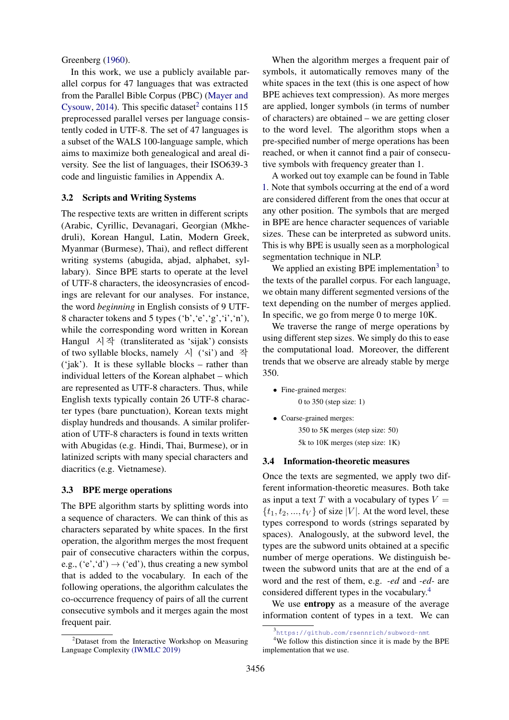Greenberg [\(1960\)](#page-9-17).

In this work, we use a publicly available parallel corpus for 47 languages that was extracted from the Parallel Bible Corpus (PBC) [\(Mayer and](#page-9-18) [Cysouw,](#page-9-18) [2014\)](#page-9-18). This specific dataset<sup>[2](#page-2-0)</sup> contains  $115$ preprocessed parallel verses per language consistently coded in UTF-8. The set of 47 languages is a subset of the WALS 100-language sample, which aims to maximize both genealogical and areal diversity. See the list of languages, their ISO639-3 code and linguistic families in Appendix A.

# <span id="page-2-3"></span>3.2 Scripts and Writing Systems

The respective texts are written in different scripts (Arabic, Cyrillic, Devanagari, Georgian (Mkhedruli), Korean Hangul, Latin, Modern Greek, Myanmar (Burmese), Thai), and reflect different writing systems (abugida, abjad, alphabet, syllabary). Since BPE starts to operate at the level of UTF-8 characters, the ideosyncrasies of encodings are relevant for our analyses. For instance, the word *beginning* in English consists of 9 UTF-8 character tokens and 5 types ('b','e','g','i','n'), while the corresponding word written in Korean Hangul 시작 (transliterated as 'sijak') consists of two syllable blocks, namely  $\lambda$  ('si') and 작 ('jak'). It is these syllable blocks – rather than individual letters of the Korean alphabet – which are represented as UTF-8 characters. Thus, while English texts typically contain 26 UTF-8 character types (bare punctuation), Korean texts might display hundreds and thousands. A similar proliferation of UTF-8 characters is found in texts written with Abugidas (e.g. Hindi, Thai, Burmese), or in latinized scripts with many special characters and diacritics (e.g. Vietnamese).

## 3.3 BPE merge operations

The BPE algorithm starts by splitting words into a sequence of characters. We can think of this as characters separated by white spaces. In the first operation, the algorithm merges the most frequent pair of consecutive characters within the corpus, e.g.,  $('e', 'd') \rightarrow ('ed')$ , thus creating a new symbol that is added to the vocabulary. In each of the following operations, the algorithm calculates the co-occurrence frequency of pairs of all the current consecutive symbols and it merges again the most frequent pair.

When the algorithm merges a frequent pair of symbols, it automatically removes many of the white spaces in the text (this is one aspect of how BPE achieves text compression). As more merges are applied, longer symbols (in terms of number of characters) are obtained – we are getting closer to the word level. The algorithm stops when a pre-specified number of merge operations has been reached, or when it cannot find a pair of consecutive symbols with frequency greater than 1.

A worked out toy example can be found in Table [1.](#page-3-0) Note that symbols occurring at the end of a word are considered different from the ones that occur at any other position. The symbols that are merged in BPE are hence character sequences of variable sizes. These can be interpreted as subword units. This is why BPE is usually seen as a morphological segmentation technique in NLP.

We applied an existing BPE implementation<sup>[3](#page-2-1)</sup> to the texts of the parallel corpus. For each language, we obtain many different segmented versions of the text depending on the number of merges applied. In specific, we go from merge 0 to merge 10K.

We traverse the range of merge operations by using different step sizes. We simply do this to ease the computational load. Moreover, the different trends that we observe are already stable by merge 350.

- Fine-grained merges: 0 to 350 (step size: 1)
- Coarse-grained merges: 350 to 5K merges (step size: 50) 5k to 10K merges (step size: 1K)

#### 3.4 Information-theoretic measures

Once the texts are segmented, we apply two different information-theoretic measures. Both take as input a text T with a vocabulary of types  $V =$  $\{t_1, t_2, ..., t_V\}$  of size |V|. At the word level, these types correspond to words (strings separated by spaces). Analogously, at the subword level, the types are the subword units obtained at a specific number of merge operations. We distinguish between the subword units that are at the end of a word and the rest of them, e.g. *-ed* and *-ed-* are considered different types in the vocabulary.[4](#page-2-2)

We use entropy as a measure of the average information content of types in a text. We can

<span id="page-2-0"></span> $2$ Dataset from the Interactive Workshop on Measuring Language Complexity [\(IWMLC 2019\)](http://www.christianbentz.de/MLC2019_data.htm)

<span id="page-2-2"></span><span id="page-2-1"></span><sup>3</sup> <https://github.com/rsennrich/subword-nmt>

<sup>&</sup>lt;sup>4</sup>We follow this distinction since it is made by the BPE implementation that we use.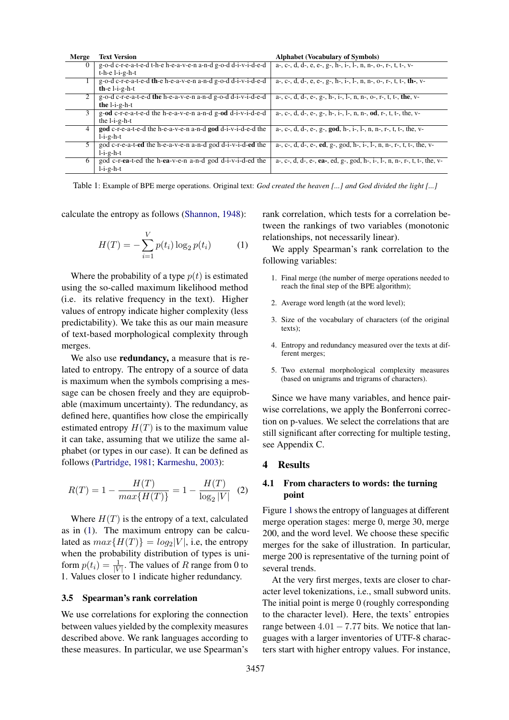<span id="page-3-0"></span>

| Merge    | <b>Text Version</b>                                             | <b>Alphabet (Vocabulary of Symbols)</b>                                    |
|----------|-----------------------------------------------------------------|----------------------------------------------------------------------------|
| $\Omega$ | g-o-d c-r-e-a-t-e-d t-h-e h-e-a-v-e-n a-n-d g-o-d d-i-v-i-d-e-d | a-, c-, d, d-, e, e-, g-, h-, i-, l-, n, n-, o-, r-, t, t-, v-             |
|          | $t-h-e$ $l-i-g-h-t$                                             |                                                                            |
|          | g-o-d c-r-e-a-t-e-d th-e h-e-a-v-e-n a-n-d g-o-d d-i-v-i-d-e-d  | a-, c-, d, d-, e, e-, g-, h-, i-, l-, n, n-, o-, r-, t, t-, th-, v-        |
|          | th-e $l-i-g-h-t$                                                |                                                                            |
| 2        | g-o-d c-r-e-a-t-e-d the h-e-a-v-e-n a-n-d g-o-d d-i-v-i-d-e-d   | a-, c-, d, d-, e-, g-, h-, i-, l-, n, n-, o-, r-, t, t-, the, v-           |
|          | the $l-i-g-h-t$                                                 |                                                                            |
| 3        | g-od c-r-e-a-t-e-d the h-e-a-v-e-n a-n-d g-od d-i-v-i-d-e-d     | a-, c-, d, d-, e-, g-, h-, i-, l-, n, n-, od, r-, t, t-, the, v-           |
|          | the $l-i-g-h-t$                                                 |                                                                            |
| 4        | god c-r-e-a-t-e-d the h-e-a-v-e-n a-n-d god d-i-v-i-d-e-d the   | a-, c-, d, d-, e-, g-, god, h-, i-, l-, n, n-, r-, t, t-, the, v-          |
|          | $l-i-g-h-t$                                                     |                                                                            |
| 5        | god c-r-e-a-t-ed the h-e-a-v-e-n a-n-d god d-i-v-i-d-ed the     | a-, c-, d, d-, e-, ed, g-, god, h-, i-, l-, n, n-, r-, t, t-, the, v-      |
|          | $l-i-g-h-t$                                                     |                                                                            |
| 6        | god c-r-ea-t-ed the h-ea-v-e-n a-n-d god d-i-v-i-d-ed the       | a-, c-, d, d-, e-, ea-, ed, g-, god, h-, i-, l-, n, n-, r-, t, t-, the, v- |
|          | $l-i-g-h-t$                                                     |                                                                            |

Table 1: Example of BPE merge operations. Original text: *God created the heaven [...] and God divided the light [...]*

calculate the entropy as follows [\(Shannon,](#page-10-5) [1948\)](#page-10-5):

<span id="page-3-1"></span>
$$
H(T) = -\sum_{i=1}^{V} p(t_i) \log_2 p(t_i)
$$
 (1)

Where the probability of a type  $p(t)$  is estimated using the so-called maximum likelihood method (i.e. its relative frequency in the text). Higher values of entropy indicate higher complexity (less predictability). We take this as our main measure of text-based morphological complexity through merges.

We also use **redundancy**, a measure that is related to entropy. The entropy of a source of data is maximum when the symbols comprising a message can be chosen freely and they are equiprobable (maximum uncertainty). The redundancy, as defined here, quantifies how close the empirically estimated entropy  $H(T)$  is to the maximum value it can take, assuming that we utilize the same alphabet (or types in our case). It can be defined as follows [\(Partridge,](#page-9-19) [1981;](#page-9-19) [Karmeshu,](#page-9-20) [2003\)](#page-9-20):

$$
R(T) = 1 - \frac{H(T)}{max\{H(T)\}} = 1 - \frac{H(T)}{\log_2|V|} \tag{2}
$$

Where  $H(T)$  is the entropy of a text, calculated as in [\(1\)](#page-3-1). The maximum entropy can be calculated as  $max{H(T)} = log_2|V|$ , i.e, the entropy when the probability distribution of types is uniform  $p(t_i) = \frac{1}{|V|}$ . The values of R range from 0 to 1. Values closer to 1 indicate higher redundancy.

# <span id="page-3-2"></span>3.5 Spearman's rank correlation

We use correlations for exploring the connection between values yielded by the complexity measures described above. We rank languages according to these measures. In particular, we use Spearman's

rank correlation, which tests for a correlation between the rankings of two variables (monotonic relationships, not necessarily linear).

We apply Spearman's rank correlation to the following variables:

- 1. Final merge (the number of merge operations needed to reach the final step of the BPE algorithm);
- 2. Average word length (at the word level);
- 3. Size of the vocabulary of characters (of the original texts);
- 4. Entropy and redundancy measured over the texts at different merges;
- 5. Two external morphological complexity measures (based on unigrams and trigrams of characters).

Since we have many variables, and hence pairwise correlations, we apply the Bonferroni correction on p-values. We select the correlations that are still significant after correcting for multiple testing, see Appendix C.

### 4 Results

# <span id="page-3-3"></span>4.1 From characters to words: the turning point

Figure [1](#page-4-0) shows the entropy of languages at different merge operation stages: merge 0, merge 30, merge 200, and the word level. We choose these specific merges for the sake of illustration. In particular, merge 200 is representative of the turning point of several trends.

At the very first merges, texts are closer to character level tokenizations, i.e., small subword units. The initial point is merge 0 (roughly corresponding to the character level). Here, the texts' entropies range between  $4.01 - 7.77$  bits. We notice that languages with a larger inventories of UTF-8 characters start with higher entropy values. For instance,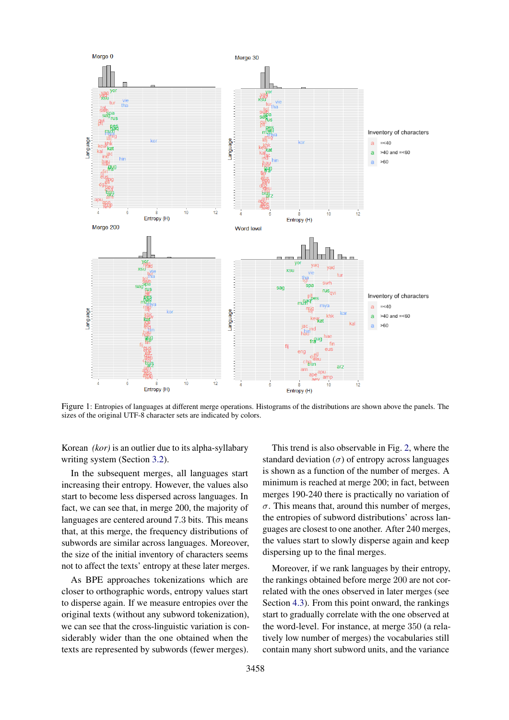<span id="page-4-0"></span>

Figure 1: Entropies of languages at different merge operations. Histograms of the distributions are shown above the panels. The sizes of the original UTF-8 character sets are indicated by colors.

Korean *(kor)* is an outlier due to its alpha-syllabary writing system (Section [3.2\)](#page-2-3).

In the subsequent merges, all languages start increasing their entropy. However, the values also start to become less dispersed across languages. In fact, we can see that, in merge 200, the majority of languages are centered around 7.3 bits. This means that, at this merge, the frequency distributions of subwords are similar across languages. Moreover, the size of the initial inventory of characters seems not to affect the texts' entropy at these later merges.

As BPE approaches tokenizations which are closer to orthographic words, entropy values start to disperse again. If we measure entropies over the original texts (without any subword tokenization), we can see that the cross-linguistic variation is considerably wider than the one obtained when the texts are represented by subwords (fewer merges).

This trend is also observable in Fig. [2,](#page-5-0) where the standard deviation  $(\sigma)$  of entropy across languages is shown as a function of the number of merges. A minimum is reached at merge 200; in fact, between merges 190-240 there is practically no variation of  $\sigma$ . This means that, around this number of merges, the entropies of subword distributions' across languages are closest to one another. After 240 merges, the values start to slowly disperse again and keep dispersing up to the final merges.

Moreover, if we rank languages by their entropy, the rankings obtained before merge 200 are not correlated with the ones observed in later merges (see Section [4.3\)](#page-6-0). From this point onward, the rankings start to gradually correlate with the one observed at the word-level. For instance, at merge 350 (a relatively low number of merges) the vocabularies still contain many short subword units, and the variance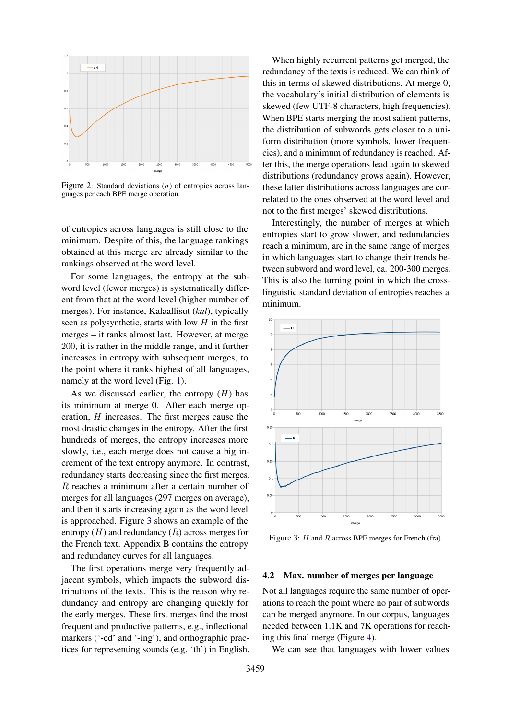<span id="page-5-0"></span>

Figure 2: Standard deviations ( $\sigma$ ) of entropies across languages per each BPE merge operation.

of entropies across languages is still close to the minimum. Despite of this, the language rankings obtained at this merge are already similar to the rankings observed at the word level.

For some languages, the entropy at the subword level (fewer merges) is systematically different from that at the word level (higher number of merges). For instance, Kalaallisut (*kal*), typically seen as polysynthetic, starts with low  $H$  in the first merges – it ranks almost last. However, at merge 200, it is rather in the middle range, and it further increases in entropy with subsequent merges, to the point where it ranks highest of all languages, namely at the word level (Fig. [1\)](#page-4-0).

As we discussed earlier, the entropy  $(H)$  has its minimum at merge 0. After each merge operation, H increases. The first merges cause the most drastic changes in the entropy. After the first hundreds of merges, the entropy increases more slowly, i.e., each merge does not cause a big increment of the text entropy anymore. In contrast, redundancy starts decreasing since the first merges. R reaches a minimum after a certain number of merges for all languages (297 merges on average), and then it starts increasing again as the word level is approached. Figure [3](#page-5-1) shows an example of the entropy  $(H)$  and redundancy  $(R)$  across merges for the French text. Appendix B contains the entropy and redundancy curves for all languages.

The first operations merge very frequently adjacent symbols, which impacts the subword distributions of the texts. This is the reason why redundancy and entropy are changing quickly for the early merges. These first merges find the most frequent and productive patterns, e.g., inflectional markers ('-ed' and '-ing'), and orthographic practices for representing sounds (e.g. 'th') in English.

When highly recurrent patterns get merged, the redundancy of the texts is reduced. We can think of this in terms of skewed distributions. At merge 0, the vocabulary's initial distribution of elements is skewed (few UTF-8 characters, high frequencies). When BPE starts merging the most salient patterns, the distribution of subwords gets closer to a uniform distribution (more symbols, lower frequencies), and a minimum of redundancy is reached. After this, the merge operations lead again to skewed distributions (redundancy grows again). However, these latter distributions across languages are correlated to the ones observed at the word level and not to the first merges' skewed distributions.

Interestingly, the number of merges at which entropies start to grow slower, and redundancies reach a minimum, are in the same range of merges in which languages start to change their trends between subword and word level, ca. 200-300 merges. This is also the turning point in which the crosslinguistic standard deviation of entropies reaches a minimum.

<span id="page-5-1"></span>

Figure 3:  $H$  and  $R$  across BPE merges for French (fra).

#### 4.2 Max. number of merges per language

Not all languages require the same number of operations to reach the point where no pair of subwords can be merged anymore. In our corpus, languages needed between 1.1K and 7K operations for reaching this final merge (Figure [4\)](#page-6-1).

We can see that languages with lower values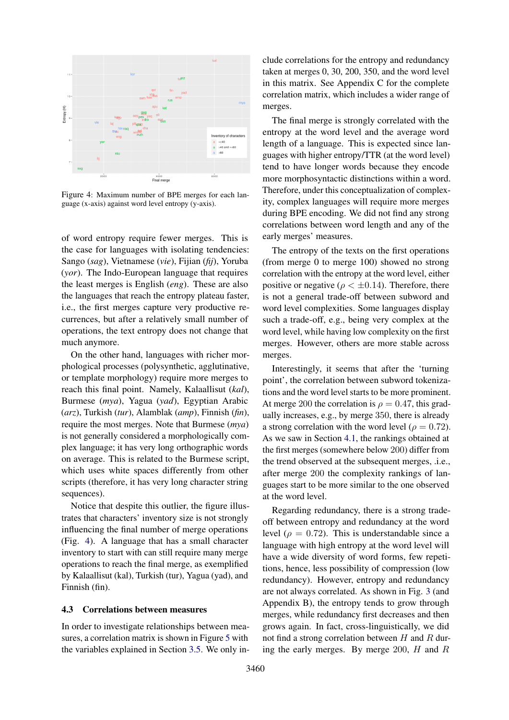<span id="page-6-1"></span>

Figure 4: Maximum number of BPE merges for each language (x-axis) against word level entropy (y-axis).

of word entropy require fewer merges. This is the case for languages with isolating tendencies: Sango (*sag*), Vietnamese (*vie*), Fijian (*fij*), Yoruba (*yor*). The Indo-European language that requires the least merges is English (*eng*). These are also the languages that reach the entropy plateau faster, i.e., the first merges capture very productive recurrences, but after a relatively small number of operations, the text entropy does not change that much anymore.

On the other hand, languages with richer morphological processes (polysynthetic, agglutinative, or template morphology) require more merges to reach this final point. Namely, Kalaallisut (*kal*), Burmese (*mya*), Yagua (*yad*), Egyptian Arabic (*arz*), Turkish (*tur*), Alamblak (*amp*), Finnish (*fin*), require the most merges. Note that Burmese (*mya*) is not generally considered a morphologically complex language; it has very long orthographic words on average. This is related to the Burmese script, which uses white spaces differently from other scripts (therefore, it has very long character string sequences).

Notice that despite this outlier, the figure illustrates that characters' inventory size is not strongly influencing the final number of merge operations (Fig. [4\)](#page-6-1). A language that has a small character inventory to start with can still require many merge operations to reach the final merge, as exemplified by Kalaallisut (kal), Turkish (tur), Yagua (yad), and Finnish (fin).

#### <span id="page-6-0"></span>4.3 Correlations between measures

In order to investigate relationships between measures, a correlation matrix is shown in Figure [5](#page-7-0) with the variables explained in Section [3.5.](#page-3-2) We only include correlations for the entropy and redundancy taken at merges 0, 30, 200, 350, and the word level in this matrix. See Appendix C for the complete correlation matrix, which includes a wider range of merges.

The final merge is strongly correlated with the entropy at the word level and the average word length of a language. This is expected since languages with higher entropy/TTR (at the word level) tend to have longer words because they encode more morphosyntactic distinctions within a word. Therefore, under this conceptualization of complexity, complex languages will require more merges during BPE encoding. We did not find any strong correlations between word length and any of the early merges' measures.

The entropy of the texts on the first operations (from merge 0 to merge 100) showed no strong correlation with the entropy at the word level, either positive or negative ( $\rho < \pm 0.14$ ). Therefore, there is not a general trade-off between subword and word level complexities. Some languages display such a trade-off, e.g., being very complex at the word level, while having low complexity on the first merges. However, others are more stable across merges.

Interestingly, it seems that after the 'turning point', the correlation between subword tokenizations and the word level starts to be more prominent. At merge 200 the correlation is  $\rho = 0.47$ , this gradually increases, e.g., by merge 350, there is already a strong correlation with the word level ( $\rho = 0.72$ ). As we saw in Section [4.1,](#page-3-3) the rankings obtained at the first merges (somewhere below 200) differ from the trend observed at the subsequent merges, .i.e., after merge 200 the complexity rankings of languages start to be more similar to the one observed at the word level.

Regarding redundancy, there is a strong tradeoff between entropy and redundancy at the word level ( $\rho = 0.72$ ). This is understandable since a language with high entropy at the word level will have a wide diversity of word forms, few repetitions, hence, less possibility of compression (low redundancy). However, entropy and redundancy are not always correlated. As shown in Fig. [3](#page-5-1) (and Appendix B), the entropy tends to grow through merges, while redundancy first decreases and then grows again. In fact, cross-linguistically, we did not find a strong correlation between  $H$  and  $R$  during the early merges. By merge 200,  $H$  and  $R$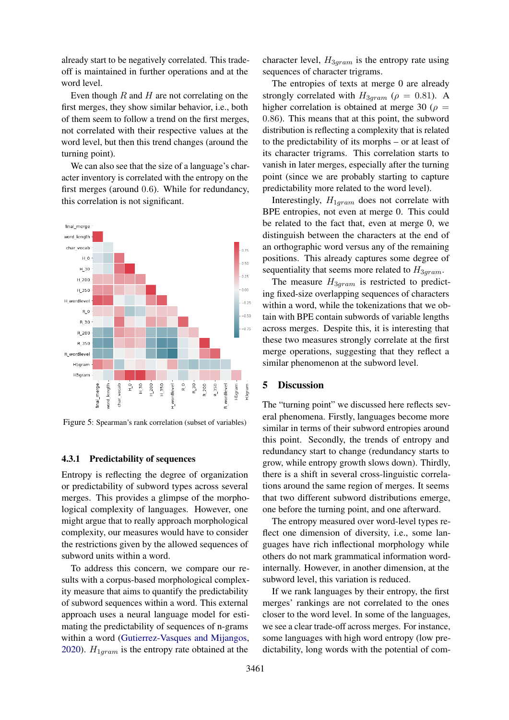already start to be negatively correlated. This tradeoff is maintained in further operations and at the word level.

Even though  $R$  and  $H$  are not correlating on the first merges, they show similar behavior, i.e., both of them seem to follow a trend on the first merges, not correlated with their respective values at the word level, but then this trend changes (around the turning point).

We can also see that the size of a language's character inventory is correlated with the entropy on the first merges (around 0.6). While for redundancy, this correlation is not significant.

<span id="page-7-0"></span>

Figure 5: Spearman's rank correlation (subset of variables)

### 4.3.1 Predictability of sequences

Entropy is reflecting the degree of organization or predictability of subword types across several merges. This provides a glimpse of the morphological complexity of languages. However, one might argue that to really approach morphological complexity, our measures would have to consider the restrictions given by the allowed sequences of subword units within a word.

To address this concern, we compare our results with a corpus-based morphological complexity measure that aims to quantify the predictability of subword sequences within a word. This external approach uses a neural language model for estimating the predictability of sequences of n-grams within a word [\(Gutierrez-Vasques and Mijangos,](#page-9-12) [2020\)](#page-9-12).  $H_{1gram}$  is the entropy rate obtained at the

character level,  $H_{3gram}$  is the entropy rate using sequences of character trigrams.

The entropies of texts at merge 0 are already strongly correlated with  $H_{3gram}$  ( $\rho = 0.81$ ). A higher correlation is obtained at merge 30 ( $\rho =$ 0.86). This means that at this point, the subword distribution is reflecting a complexity that is related to the predictability of its morphs – or at least of its character trigrams. This correlation starts to vanish in later merges, especially after the turning point (since we are probably starting to capture predictability more related to the word level).

Interestingly,  $H_{1gram}$  does not correlate with BPE entropies, not even at merge 0. This could be related to the fact that, even at merge 0, we distinguish between the characters at the end of an orthographic word versus any of the remaining positions. This already captures some degree of sequentiality that seems more related to  $H_{3gram}$ .

The measure  $H_{3gram}$  is restricted to predicting fixed-size overlapping sequences of characters within a word, while the tokenizations that we obtain with BPE contain subwords of variable lengths across merges. Despite this, it is interesting that these two measures strongly correlate at the first merge operations, suggesting that they reflect a similar phenomenon at the subword level.

# 5 Discussion

The "turning point" we discussed here reflects several phenomena. Firstly, languages become more similar in terms of their subword entropies around this point. Secondly, the trends of entropy and redundancy start to change (redundancy starts to grow, while entropy growth slows down). Thirdly, there is a shift in several cross-linguistic correlations around the same region of merges. It seems that two different subword distributions emerge, one before the turning point, and one afterward.

The entropy measured over word-level types reflect one dimension of diversity, i.e., some languages have rich inflectional morphology while others do not mark grammatical information wordinternally. However, in another dimension, at the subword level, this variation is reduced.

If we rank languages by their entropy, the first merges' rankings are not correlated to the ones closer to the word level. In some of the languages, we see a clear trade-off across merges. For instance, some languages with high word entropy (low predictability, long words with the potential of com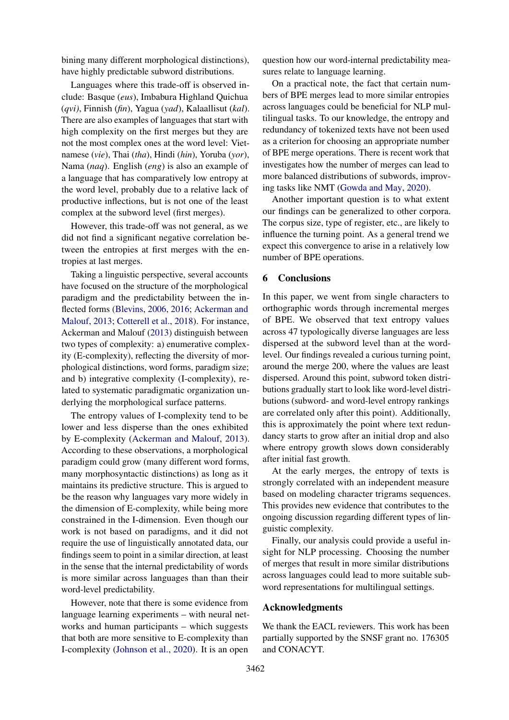bining many different morphological distinctions), have highly predictable subword distributions.

Languages where this trade-off is observed include: Basque (*eus*), Imbabura Highland Quichua (*qvi)*, Finnish (*fin*), Yagua (*yad*), Kalaallisut (*kal*). There are also examples of languages that start with high complexity on the first merges but they are not the most complex ones at the word level: Vietnamese (*vie*), Thai (*tha*), Hindi (*hin*), Yoruba (*yor*), Nama (*naq*). English (*eng*) is also an example of a language that has comparatively low entropy at the word level, probably due to a relative lack of productive inflections, but is not one of the least complex at the subword level (first merges).

However, this trade-off was not general, as we did not find a significant negative correlation between the entropies at first merges with the entropies at last merges.

Taking a linguistic perspective, several accounts have focused on the structure of the morphological paradigm and the predictability between the inflected forms [\(Blevins,](#page-9-21) [2006,](#page-9-21) [2016;](#page-9-22) [Ackerman and](#page-9-1) [Malouf,](#page-9-1) [2013;](#page-9-1) [Cotterell et al.,](#page-9-23) [2018\)](#page-9-23). For instance, Ackerman and Malouf [\(2013\)](#page-9-1) distinguish between two types of complexity: a) enumerative complexity (E-complexity), reflecting the diversity of morphological distinctions, word forms, paradigm size; and b) integrative complexity (I-complexity), related to systematic paradigmatic organization underlying the morphological surface patterns.

The entropy values of I-complexity tend to be lower and less disperse than the ones exhibited by E-complexity [\(Ackerman and Malouf,](#page-9-1) [2013\)](#page-9-1). According to these observations, a morphological paradigm could grow (many different word forms, many morphosyntactic distinctions) as long as it maintains its predictive structure. This is argued to be the reason why languages vary more widely in the dimension of E-complexity, while being more constrained in the I-dimension. Even though our work is not based on paradigms, and it did not require the use of linguistically annotated data, our findings seem to point in a similar direction, at least in the sense that the internal predictability of words is more similar across languages than than their word-level predictability.

However, note that there is some evidence from language learning experiments – with neural networks and human participants – which suggests that both are more sensitive to E-complexity than I-complexity [\(Johnson et al.,](#page-9-24) [2020\)](#page-9-24). It is an open

question how our word-internal predictability measures relate to language learning.

On a practical note, the fact that certain numbers of BPE merges lead to more similar entropies across languages could be beneficial for NLP multilingual tasks. To our knowledge, the entropy and redundancy of tokenized texts have not been used as a criterion for choosing an appropriate number of BPE merge operations. There is recent work that investigates how the number of merges can lead to more balanced distributions of subwords, improving tasks like NMT [\(Gowda and May,](#page-9-25) [2020\)](#page-9-25).

Another important question is to what extent our findings can be generalized to other corpora. The corpus size, type of register, etc., are likely to influence the turning point. As a general trend we expect this convergence to arise in a relatively low number of BPE operations.

# 6 Conclusions

In this paper, we went from single characters to orthographic words through incremental merges of BPE. We observed that text entropy values across 47 typologically diverse languages are less dispersed at the subword level than at the wordlevel. Our findings revealed a curious turning point, around the merge 200, where the values are least dispersed. Around this point, subword token distributions gradually start to look like word-level distributions (subword- and word-level entropy rankings are correlated only after this point). Additionally, this is approximately the point where text redundancy starts to grow after an initial drop and also where entropy growth slows down considerably after initial fast growth.

At the early merges, the entropy of texts is strongly correlated with an independent measure based on modeling character trigrams sequences. This provides new evidence that contributes to the ongoing discussion regarding different types of linguistic complexity.

Finally, our analysis could provide a useful insight for NLP processing. Choosing the number of merges that result in more similar distributions across languages could lead to more suitable subword representations for multilingual settings.

### Acknowledgments

We thank the EACL reviewers. This work has been partially supported by the SNSF grant no. 176305 and CONACYT.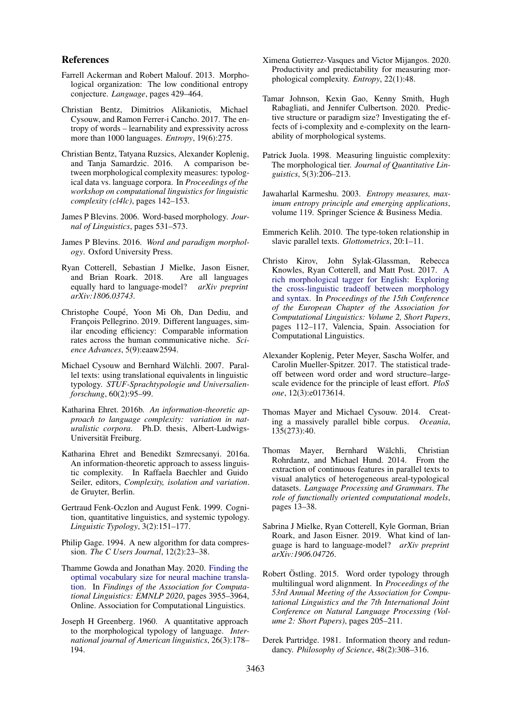### References

- <span id="page-9-1"></span>Farrell Ackerman and Robert Malouf. 2013. Morphological organization: The low conditional entropy conjecture. *Language*, pages 429–464.
- <span id="page-9-7"></span>Christian Bentz, Dimitrios Alikaniotis, Michael Cysouw, and Ramon Ferrer-i Cancho. 2017. The entropy of words – learnability and expressivity across more than 1000 languages. *Entropy*, 19(6):275.
- <span id="page-9-2"></span>Christian Bentz, Tatyana Ruzsics, Alexander Koplenig, and Tanja Samardzic. 2016. A comparison between morphological complexity measures: typological data vs. language corpora. In *Proceedings of the workshop on computational linguistics for linguistic complexity (cl4lc)*, pages 142–153.
- <span id="page-9-21"></span>James P Blevins. 2006. Word-based morphology. *Journal of Linguistics*, pages 531–573.
- <span id="page-9-22"></span>James P Blevins. 2016. *Word and paradigm morphology*. Oxford University Press.
- <span id="page-9-23"></span>Ryan Cotterell, Sebastian J Mielke, Jason Eisner, and Brian Roark. 2018. Are all languages equally hard to language-model? *arXiv preprint arXiv:1806.03743*.
- <span id="page-9-10"></span>Christophe Coupe, Yoon Mi Oh, Dan Dediu, and ´ François Pellegrino. 2019. Different languages, similar encoding efficiency: Comparable information rates across the human communicative niche. *Science Advances*, 5(9):eaaw2594.
- <span id="page-9-13"></span>Michael Cysouw and Bernhard Wälchli. 2007. Parallel texts: using translational equivalents in linguistic typology. *STUF-Sprachtypologie und Universalienforschung*, 60(2):95–99.
- <span id="page-9-5"></span>Katharina Ehret. 2016b. *An information-theoretic approach to language complexity: variation in naturalistic corpora*. Ph.D. thesis, Albert-Ludwigs-Universität Freiburg.
- <span id="page-9-4"></span>Katharina Ehret and Benedikt Szmrecsanyi. 2016a. An information-theoretic approach to assess linguistic complexity. In Raffaela Baechler and Guido Seiler, editors, *Complexity, isolation and variation*. de Gruyter, Berlin.
- <span id="page-9-9"></span>Gertraud Fenk-Oczlon and August Fenk. 1999. Cognition, quantitative linguistics, and systemic typology. *Linguistic Typology*, 3(2):151–177.
- <span id="page-9-0"></span>Philip Gage. 1994. A new algorithm for data compression. *The C Users Journal*, 12(2):23–38.
- <span id="page-9-25"></span>Thamme Gowda and Jonathan May. 2020. [Finding the](https://doi.org/10.18653/v1/2020.findings-emnlp.352) [optimal vocabulary size for neural machine transla](https://doi.org/10.18653/v1/2020.findings-emnlp.352)[tion.](https://doi.org/10.18653/v1/2020.findings-emnlp.352) In *Findings of the Association for Computational Linguistics: EMNLP 2020*, pages 3955–3964, Online. Association for Computational Linguistics.
- <span id="page-9-17"></span>Joseph H Greenberg. 1960. A quantitative approach to the morphological typology of language. *International journal of American linguistics*, 26(3):178– 194.
- <span id="page-9-12"></span>Ximena Gutierrez-Vasques and Victor Mijangos. 2020. Productivity and predictability for measuring morphological complexity. *Entropy*, 22(1):48.
- <span id="page-9-24"></span>Tamar Johnson, Kexin Gao, Kenny Smith, Hugh Rabagliati, and Jennifer Culbertson. 2020. Predictive structure or paradigm size? Investigating the effects of i-complexity and e-complexity on the learnability of morphological systems.
- <span id="page-9-3"></span>Patrick Juola. 1998. Measuring linguistic complexity: The morphological tier. *Journal of Quantitative Linguistics*, 5(3):206–213.
- <span id="page-9-20"></span>Jawaharlal Karmeshu. 2003. *Entropy measures, maximum entropy principle and emerging applications*, volume 119. Springer Science & Business Media.
- <span id="page-9-15"></span>Emmerich Kelih. 2010. The type-token relationship in slavic parallel texts. *Glottometrics*, 20:1–11.
- <span id="page-9-8"></span>Christo Kirov, John Sylak-Glassman, Rebecca Knowles, Ryan Cotterell, and Matt Post. 2017. [A](https://www.aclweb.org/anthology/E17-2018) [rich morphological tagger for English: Exploring](https://www.aclweb.org/anthology/E17-2018) [the cross-linguistic tradeoff between morphology](https://www.aclweb.org/anthology/E17-2018) [and syntax.](https://www.aclweb.org/anthology/E17-2018) In *Proceedings of the 15th Conference of the European Chapter of the Association for Computational Linguistics: Volume 2, Short Papers*, pages 112–117, Valencia, Spain. Association for Computational Linguistics.
- <span id="page-9-6"></span>Alexander Koplenig, Peter Meyer, Sascha Wolfer, and Carolin Mueller-Spitzer. 2017. The statistical tradeoff between word order and word structure–largescale evidence for the principle of least effort. *PloS one*, 12(3):e0173614.
- <span id="page-9-18"></span>Thomas Mayer and Michael Cysouw. 2014. Creating a massively parallel bible corpus. *Oceania*, 135(273):40.
- <span id="page-9-16"></span>Thomas Mayer, Bernhard Wälchli, Christian Rohrdantz, and Michael Hund. 2014. From the extraction of continuous features in parallel texts to visual analytics of heterogeneous areal-typological datasets. *Language Processing and Grammars. The role of functionally oriented computational models*, pages 13–38.
- <span id="page-9-11"></span>Sabrina J Mielke, Ryan Cotterell, Kyle Gorman, Brian Roark, and Jason Eisner. 2019. What kind of language is hard to language-model? *arXiv preprint arXiv:1906.04726*.
- <span id="page-9-14"></span>Robert Östling. 2015. Word order typology through multilingual word alignment. In *Proceedings of the 53rd Annual Meeting of the Association for Computational Linguistics and the 7th International Joint Conference on Natural Language Processing (Volume 2: Short Papers)*, pages 205–211.
- <span id="page-9-19"></span>Derek Partridge. 1981. Information theory and redundancy. *Philosophy of Science*, 48(2):308–316.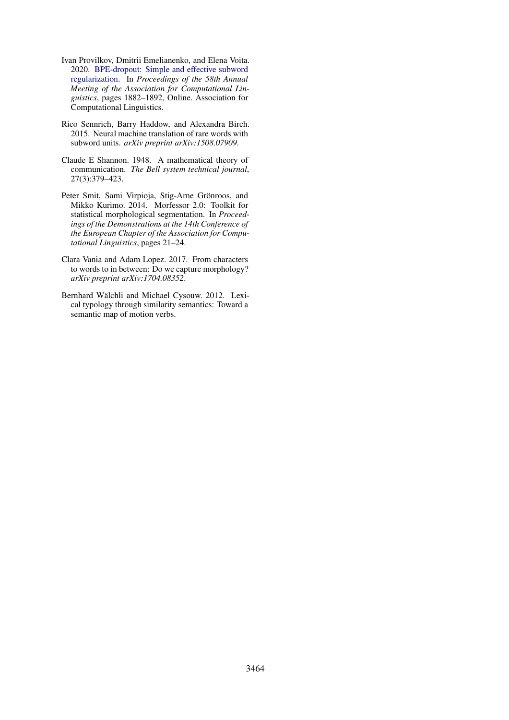- <span id="page-10-1"></span>Ivan Provilkov, Dmitrii Emelianenko, and Elena Voita. 2020. [BPE-dropout: Simple and effective subword](https://www.aclweb.org/anthology/2020.acl-main.170) [regularization.](https://www.aclweb.org/anthology/2020.acl-main.170) In *Proceedings of the 58th Annual Meeting of the Association for Computational Linguistics*, pages 1882–1892, Online. Association for Computational Linguistics.
- <span id="page-10-0"></span>Rico Sennrich, Barry Haddow, and Alexandra Birch. 2015. Neural machine translation of rare words with subword units. *arXiv preprint arXiv:1508.07909*.
- <span id="page-10-5"></span>Claude E Shannon. 1948. A mathematical theory of communication. *The Bell system technical journal*, 27(3):379–423.
- <span id="page-10-2"></span>Peter Smit, Sami Virpioja, Stig-Arne Grönroos, and Mikko Kurimo. 2014. Morfessor 2.0: Toolkit for statistical morphological segmentation. In *Proceedings of the Demonstrations at the 14th Conference of the European Chapter of the Association for Computational Linguistics*, pages 21–24.
- <span id="page-10-3"></span>Clara Vania and Adam Lopez. 2017. From characters to words to in between: Do we capture morphology? *arXiv preprint arXiv:1704.08352*.
- <span id="page-10-4"></span>Bernhard Wälchli and Michael Cysouw. 2012. Lexical typology through similarity semantics: Toward a semantic map of motion verbs.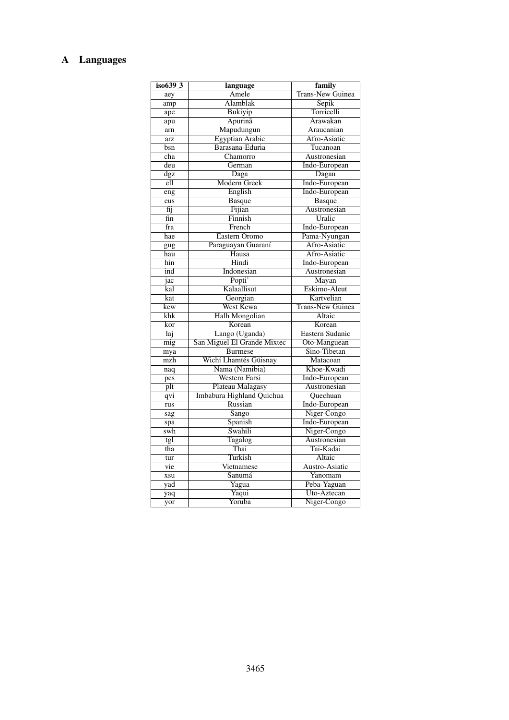# A Languages

| iso639_3        | language                    | family                  |  |  |  |  |
|-----------------|-----------------------------|-------------------------|--|--|--|--|
| aey             | Amele                       | <b>Trans-New Guinea</b> |  |  |  |  |
| amp             | Alamblak                    | Sepik                   |  |  |  |  |
| ape             | <b>Bukiyip</b>              | Torricelli              |  |  |  |  |
| apu             | Apurinã                     | Arawakan                |  |  |  |  |
| arn             | Mapudungun                  | Araucanian              |  |  |  |  |
| arz             | <b>Egyptian Arabic</b>      | Afro-Asiatic            |  |  |  |  |
| bsn             | Barasana-Eduria             | Tucanoan                |  |  |  |  |
| cha             | Chamorro                    | Austronesian            |  |  |  |  |
| deu             | German                      | Indo-European           |  |  |  |  |
| $\frac{dgz}{2}$ | Daga                        | Dagan                   |  |  |  |  |
| ell             | <b>Modern Greek</b>         | Indo-European           |  |  |  |  |
| eng             | English                     | Indo-European           |  |  |  |  |
| eus             | <b>Basque</b>               | <b>Basque</b>           |  |  |  |  |
| fij             | Fijian                      | Austronesian            |  |  |  |  |
| fin             | Finnish                     | Uralic                  |  |  |  |  |
| fra             | French                      | Indo-European           |  |  |  |  |
| hae             | Eastern Oromo               | Pama-Nyungan            |  |  |  |  |
| gug             | Paraguayan Guaraní          | Afro-Asiatic            |  |  |  |  |
| hau             | $\overline{\text{H}}$ ausa  | Afro-Asiatic            |  |  |  |  |
| hin             | Hindi                       | Indo-European           |  |  |  |  |
| ind             | Indonesian                  | Austronesian            |  |  |  |  |
| jac             | Popti'                      | Mayan                   |  |  |  |  |
| kal             | Kalaallisut                 | Eskimo-Aleut            |  |  |  |  |
| kat             | Georgian                    | Kartvelian              |  |  |  |  |
| kew             | West Kewa                   | <b>Trans-New Guinea</b> |  |  |  |  |
| $k$ h $k$       | <b>Halh Mongolian</b>       | Altaic                  |  |  |  |  |
| kor             | Korean                      | Korean                  |  |  |  |  |
| Taj             | Lango (Uganda)              | Eastern Sudanic         |  |  |  |  |
| mig             | San Miguel El Grande Mixtec | Oto-Manguean            |  |  |  |  |
| mya             | <b>Burmese</b>              | Sino-Tibetan            |  |  |  |  |
| mzh             | Wichí Lhamtés Güisnay       | Matacoan                |  |  |  |  |
| naq             | Nama (Namibia)              | Khoe-Kwadi              |  |  |  |  |
| pes             | Western Farsi               | Indo-European           |  |  |  |  |
| plt             | Plateau Malagasy            | Austronesian            |  |  |  |  |
| qvi             | Imbabura Highland Quichua   | Quechuan                |  |  |  |  |
| rus             | Russian                     | Indo-European           |  |  |  |  |
| sag             | Sango                       | Niger-Congo             |  |  |  |  |
| spa             | Spanish                     | Indo-European           |  |  |  |  |
| swh             | Swahili                     | Niger-Congo             |  |  |  |  |
| tgl             | <b>Tagalog</b>              | Austronesian            |  |  |  |  |
| tha             | Thai                        | Tai-Kadai               |  |  |  |  |
| tur             | Turkish                     | Altaic                  |  |  |  |  |
| vie             | Vietnamese                  | Austro-Asiatic          |  |  |  |  |
| xsu             | Sanumá                      | Yanomam                 |  |  |  |  |
| yad             | Yagua                       | Peba-Yaguan             |  |  |  |  |
| yaq             | Yaqui                       | Uto-Aztecan             |  |  |  |  |
| yor             | Yoruba                      | Niger-Congo             |  |  |  |  |
|                 |                             |                         |  |  |  |  |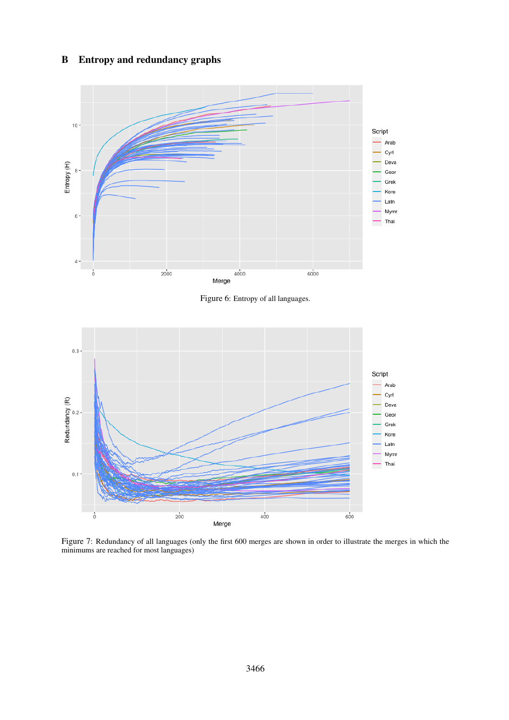# B Entropy and redundancy graphs



Figure 6: Entropy of all languages.



Figure 7: Redundancy of all languages (only the first 600 merges are shown in order to illustrate the merges in which the minimums are reached for most languages)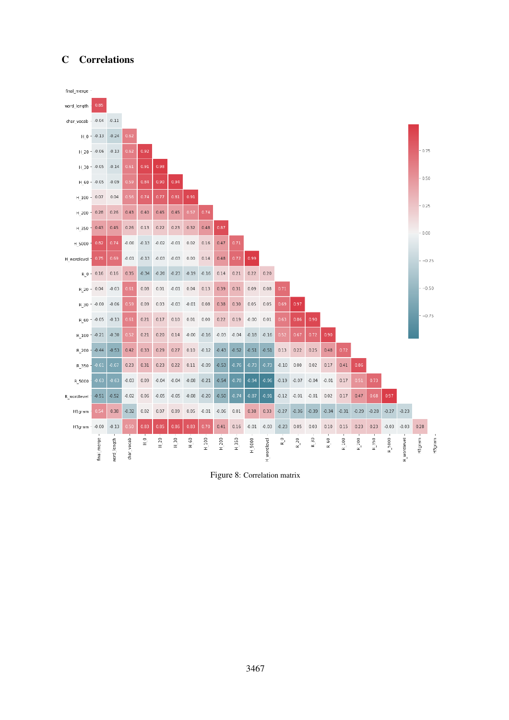# C Correlations



Figure 8: Correlation matrix